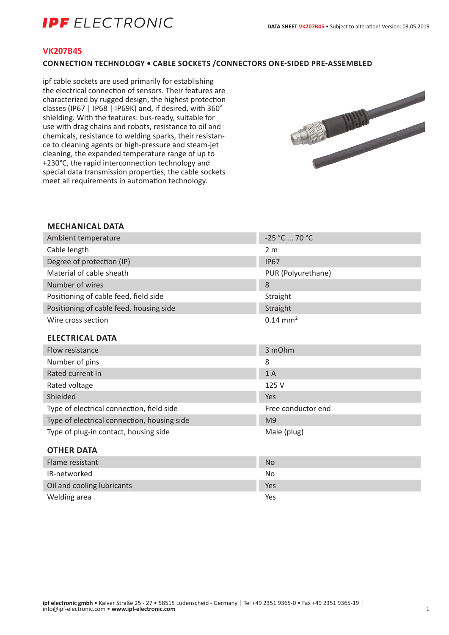# **IDF** FI FCTRONIC

### **VK207B45**

### **CONNECTION TECHNOLOGY • CABLE SOCKETS /CONNECTORS ONE-SIDED PRE-ASSEMBLED**

ipf cable sockets are used primarily for establishing the electrical connection of sensors. Their features are characterized by rugged design, the highest protection classes (IP67 | IP68 | IP69K) and, if desired, with 360° shielding. With the features: bus-ready, suitable for use with drag chains and robots, resistance to oil and chemicals, resistance to welding sparks, their resistance to cleaning agents or high-pressure and steam-jet cleaning, the expanded temperature range of up to +230°C, the rapid interconnection technology and special data transmission properties, the cable sockets meet all requirements in automation technology.



#### **MECHANICAL DATA**

| Ambient temperature                         | -25 °C  70 °C         |
|---------------------------------------------|-----------------------|
| Cable length                                | 2 <sub>m</sub>        |
| Degree of protection (IP)                   | <b>IP67</b>           |
| Material of cable sheath                    | PUR (Polyurethane)    |
| Number of wires                             | 8                     |
| Positioning of cable feed, field side       | Straight              |
| Positioning of cable feed, housing side     | Straight              |
| Wire cross section                          | $0.14 \, \text{mm}^2$ |
| <b>ELECTRICAL DATA</b>                      |                       |
| Flow resistance                             | 3 mOhm                |
| Number of pins                              | 8                     |
| Rated current In                            | 1A                    |
| Rated voltage                               | 125 V                 |
| Shielded                                    | Yes                   |
| Type of electrical connection, field side   | Free conductor end    |
| Type of electrical connection, housing side | M <sub>9</sub>        |
| Type of plug-in contact, housing side       | Male (plug)           |
| <b>OTHER DATA</b>                           |                       |
| Flame resistant                             | <b>No</b>             |
| IR-networked                                | <b>No</b>             |
| Oil and cooling lubricants                  | Yes                   |

Welding area Yes